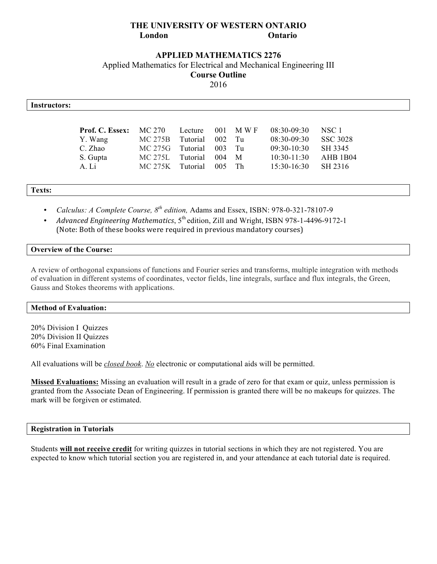# **THE UNIVERSITY OF WESTERN ONTARIO London Ontario**

## **APPLIED MATHEMATICS 2276**

Applied Mathematics for Electrical and Mechanical Engineering III

**Course Outline**

2016

| Instructors: |                        |         |          |     |       |               |                 |
|--------------|------------------------|---------|----------|-----|-------|---------------|-----------------|
|              |                        |         |          |     |       |               |                 |
|              | <b>Prof. C. Essex:</b> | MC 270  | Lecture  | 001 | M W F | $08:30-09:30$ | NSC 1           |
|              | Y. Wang                | MC 275B | Tutorial | 002 | Tu    | $08:30-09:30$ | <b>SSC 3028</b> |
|              | C. Zhao                | MC 275G | Tutorial | 003 | Tu    | $09:30-10:30$ | SH 3345         |
|              | S. Gupta               | MC 275L | Tutorial | 004 | M     | $10:30-11:30$ | AHB 1B04        |
|              | A. Li                  | MC 275K | Tutorial | 005 | Th    | $15:30-16:30$ | SH 2316         |
|              |                        |         |          |     |       |               |                 |

**Texts:**

- *Calculus: A Complete Course, 8th edition,* Adams and Essex, ISBN: 978-0-321-78107-9
- *Advanced Engineering Mathematics*, 5<sup>th</sup> edition, Zill and Wright, ISBN 978-1-4496-9172-1 (Note: Both of these books were required in previous mandatory courses)

#### **Overview of the Course:**

A review of orthogonal expansions of functions and Fourier series and transforms, multiple integration with methods of evaluation in different systems of coordinates, vector fields, line integrals, surface and flux integrals, the Green, Gauss and Stokes theorems with applications.

## **Method of Evaluation:**

20% Division I Quizzes 20% Division II Quizzes 60% Final Examination

All evaluations will be *closed book*. *No* electronic or computational aids will be permitted.

**Missed Evaluations:** Missing an evaluation will result in a grade of zero for that exam or quiz, unless permission is granted from the Associate Dean of Engineering. If permission is granted there will be no makeups for quizzes. The mark will be forgiven or estimated.

#### **Registration in Tutorials**

Students **will not receive credit** for writing quizzes in tutorial sections in which they are not registered. You are expected to know which tutorial section you are registered in, and your attendance at each tutorial date is required.